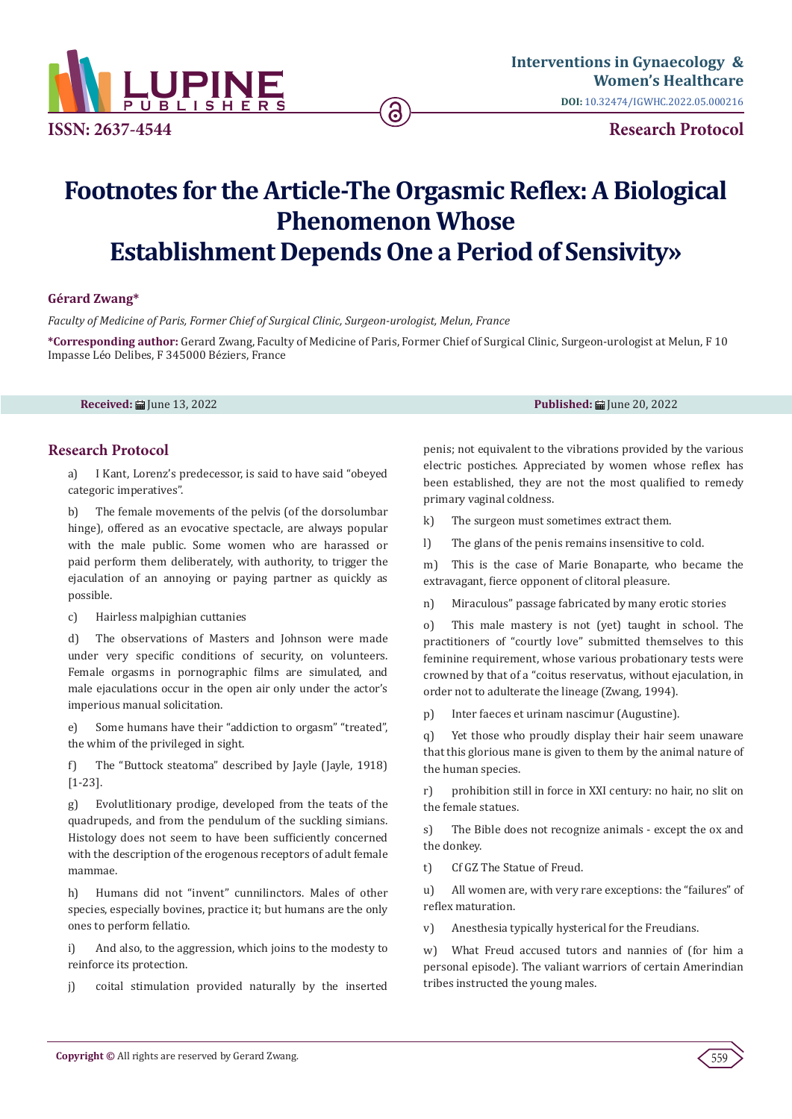

# **Footnotes for the Article-The Orgasmic Reflex: A Biological Phenomenon Whose Establishment Depends One a Period of Sensivity»**

6

# **Gérard Zwang\***

*Faculty of Medicine of Paris, Former Chief of Surgical Clinic, Surgeon-urologist, Melun, France* 

**\*Corresponding author:** Gerard Zwang, Faculty of Medicine of Paris, Former Chief of Surgical Clinic, Surgeon-urologist at Melun, F 10 Impasse Léo Delibes, F 345000 Béziers, France

**Received:** June 13, 2022 **Published:** June 20, 2022

# **Research Protocol**

a) I Kant, Lorenz's predecessor, is said to have said "obeyed categoric imperatives".

b) The female movements of the pelvis (of the dorsolumbar hinge), offered as an evocative spectacle, are always popular with the male public. Some women who are harassed or paid perform them deliberately, with authority, to trigger the ejaculation of an annoying or paying partner as quickly as possible.

c) Hairless malpighian cuttanies

d) The observations of Masters and Johnson were made under very specific conditions of security, on volunteers. Female orgasms in pornographic films are simulated, and male ejaculations occur in the open air only under the actor's imperious manual solicitation.

e) Some humans have their "addiction to orgasm" "treated", the whim of the privileged in sight.

f) The "Buttock steatoma" described by Jayle (Jayle, 1918) [1-23].

g) Evolutlitionary prodige, developed from the teats of the quadrupeds, and from the pendulum of the suckling simians. Histology does not seem to have been sufficiently concerned with the description of the erogenous receptors of adult female mammae.

h) Humans did not "invent" cunnilinctors. Males of other species, especially bovines, practice it; but humans are the only ones to perform fellatio.

i) And also, to the aggression, which joins to the modesty to reinforce its protection.

j) coital stimulation provided naturally by the inserted

penis; not equivalent to the vibrations provided by the various electric postiches. Appreciated by women whose reflex has been established, they are not the most qualified to remedy primary vaginal coldness.

k) The surgeon must sometimes extract them.

l) The glans of the penis remains insensitive to cold.

m) This is the case of Marie Bonaparte, who became the extravagant, fierce opponent of clitoral pleasure.

n) Miraculous" passage fabricated by many erotic stories

o) This male mastery is not (yet) taught in school. The practitioners of "courtly love" submitted themselves to this feminine requirement, whose various probationary tests were crowned by that of a "coitus reservatus, without ejaculation, in order not to adulterate the lineage (Zwang, 1994).

p) Inter faeces et urinam nascimur (Augustine).

q) Yet those who proudly display their hair seem unaware that this glorious mane is given to them by the animal nature of the human species.

r) prohibition still in force in XXI century: no hair, no slit on the female statues.

s) The Bible does not recognize animals - except the ox and the donkey.

t) Cf GZ The Statue of Freud.

u) All women are, with very rare exceptions: the "failures" of reflex maturation.

v) Anesthesia typically hysterical for the Freudians.

w) What Freud accused tutors and nannies of (for him a personal episode). The valiant warriors of certain Amerindian tribes instructed the young males.

**Copyright** © All rights are reserved by Gerard Zwang.  $\left($  559